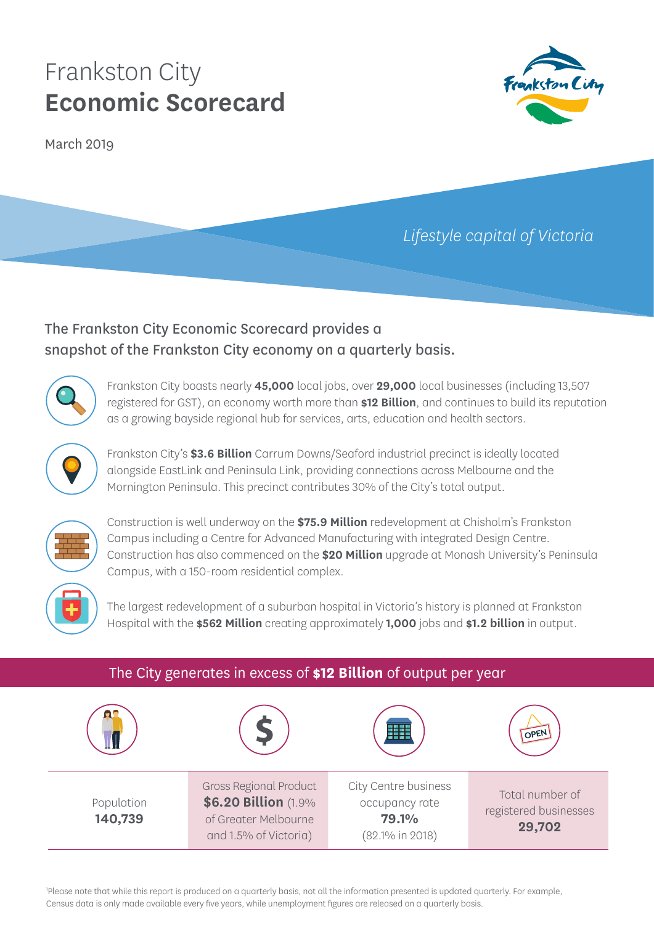# Frankston City **Economic Scorecard**

March 2019



## *Lifestyle capital of Victoria*

## The Frankston City Economic Scorecard provides a snapshot of the Frankston City economy on a quarterly basis.



Frankston City boasts nearly **45,000** local jobs, over **29,000** local businesses (including 13,507 registered for GST), an economy worth more than **\$12 Billion**, and continues to build its reputation as a growing bayside regional hub for services, arts, education and health sectors.



Frankston City's **\$3.6 Billion** Carrum Downs/Seaford industrial precinct is ideally located alongside EastLink and Peninsula Link, providing connections across Melbourne and the Mornington Peninsula. This precinct contributes 30% of the City's total output.



Construction is well underway on the **\$75.9 Million** redevelopment at Chisholm's Frankston Campus including a Centre for Advanced Manufacturing with integrated Design Centre. Construction has also commenced on the **\$20 Million** upgrade at Monash University's Peninsula Campus, with a 150-room residential complex.



The largest redevelopment of a suburban hospital in Victoria's history is planned at Frankston Hospital with the **\$562 Million** creating approximately **1,000** jobs and **\$1.2 billion** in output.

| The City generates in excess of \$12 Billion of output per year |                                                                                                        |                                                                           |                                                    |  |
|-----------------------------------------------------------------|--------------------------------------------------------------------------------------------------------|---------------------------------------------------------------------------|----------------------------------------------------|--|
|                                                                 |                                                                                                        |                                                                           | OPEN                                               |  |
| Population<br>140,739                                           | <b>Gross Regional Product</b><br>\$6.20 Billion (1.9%<br>of Greater Melbourne<br>and 1.5% of Victoria) | City Centre business<br>occupancy rate<br><b>79.1%</b><br>(82.1% in 2018) | Total number of<br>registered businesses<br>29,702 |  |

1 Please note that while this report is produced on a quarterly basis, not all the information presented is updated quarterly. For example, Census data is only made available every five years, while unemployment figures are released on a quarterly basis.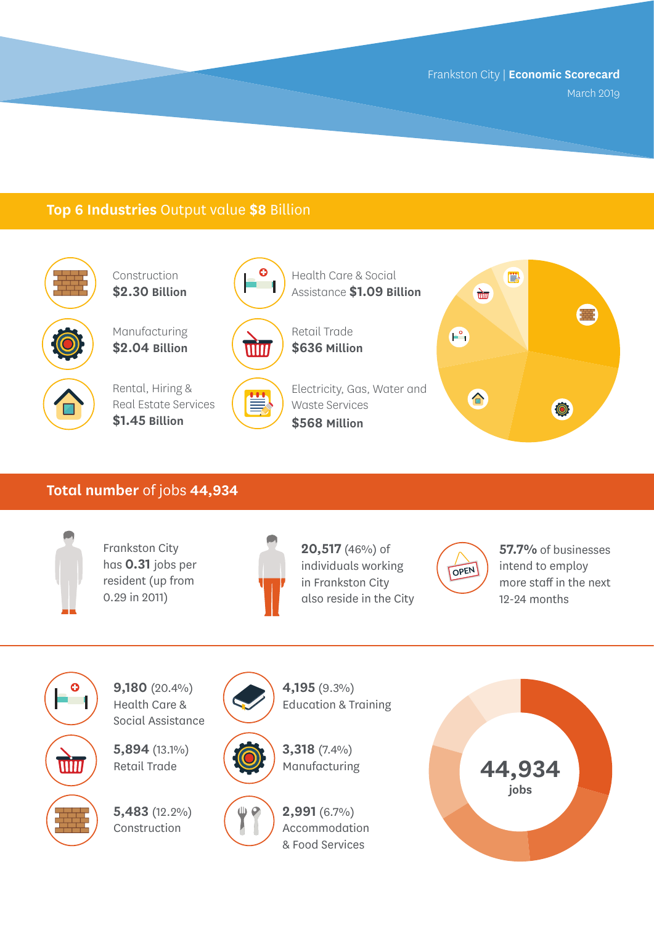## **Top 6 Industries** Output value **\$8** Billion



Construction **\$2.30 Billion**

Manufacturing **\$2.04 Billion**



Rental, Hiring & Real Estate Services **\$1.45 Billion**





Ë

Assistance **\$1.09 Billion** Retail Trade

Health Care & Social

Electricity, Gas, Water and Waste Services **\$568 Million**



#### **Total number** of jobs **44,934**



Frankston City has **0.31** jobs per resident (up from 0.29 in 2011)



**20,517** (46%) of individuals working in Frankston City also reside in the City



**57.7%** of businesses intend to employ more staff in the next 12-24 months



**9,180** (20.4%) Health Care & Social Assistance

**5,894** (13.1%) Retail Trade

**5,483** (12.2%) Construction





**4,195** (9.3%)





**2,991** (6.7%)

Accommodation & Food Services

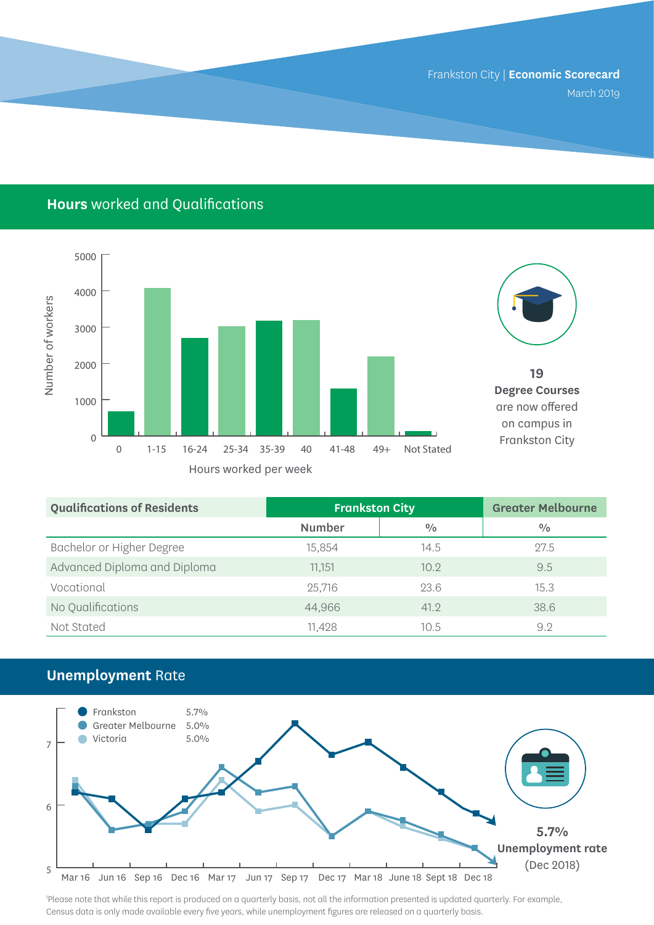## **Hours** worked and Qualifications





**19 Degree Courses**  are now offered on campus in Frankston City

| <b>Qualifications of Residents</b> | <b>Frankston City</b> |      | <b>Greater Melbourne</b> |
|------------------------------------|-----------------------|------|--------------------------|
|                                    | <b>Number</b>         | 0/0  | 0/0                      |
| Bachelor or Higher Degree          | 15,854                | 14.5 | 27.5                     |
| Advanced Diploma and Diploma       | 11.151                | 10.9 | 9.5                      |
| Vocational                         | 25,716                | 23.6 | 15.3                     |
| No Qualifications                  | 44,966                | 41.2 | 38.6                     |
| Not Stated                         | 11,428                | 10.5 | 9.2                      |

## **Unemployment** Rate



1 Please note that while this report is produced on a quarterly basis, not all the information presented is updated quarterly. For example, Census data is only made available every five years, while unemployment figures are released on a quarterly basis.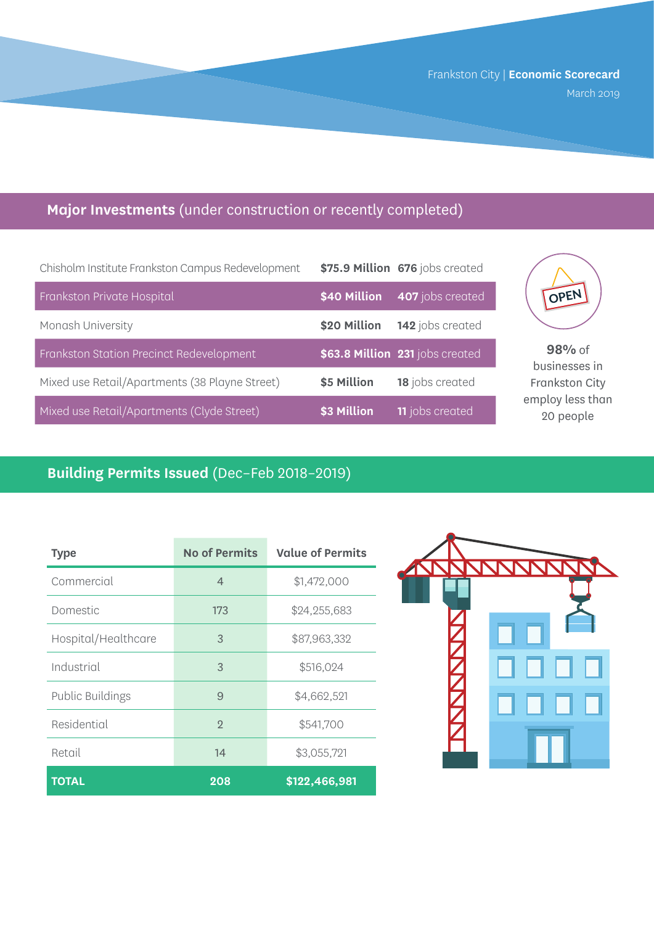## **Major Investments** (under construction or recently completed)

| Chisholm Institute Frankston Campus Redevelopment |              | \$75.9 Million 676 jobs created |
|---------------------------------------------------|--------------|---------------------------------|
| Frankston Private Hospital                        | \$40 Million | 407 jobs created                |
| Monash University                                 | \$20 Million | 142 jobs created                |
| Frankston Station Precinct Redevelopment          |              | \$63.8 Million 231 jobs created |
| Mixed use Retail/Apartments (38 Playne Street)    | \$5 Million  | 18 jobs created                 |
| Mixed use Retail/Apartments (Clyde Street)        | \$3 Million  | <b>11</b> jobs created          |



**98%** of businesses in Frankston City employ less than 20 people

## **Building Permits Issued** (Dec–Feb 2018–2019)

| Type                    | <b>No of Permits</b> | <b>Value of Permits</b> |
|-------------------------|----------------------|-------------------------|
| Commercial              | $\overline{4}$       | \$1,472,000             |
| Domestic                | 173                  | \$24,255,683            |
| Hospital/Healthcare     | 3                    | \$87,963,332            |
| Industrial              | 3                    | \$516,024               |
| <b>Public Buildings</b> | 9                    | \$4,662,521             |
| Residential             | $\mathcal{D}$        | \$541,700               |
| Retail                  | 14                   | \$3,055,721             |
| <b>TOTAL</b>            | 208                  | \$122,466,981           |

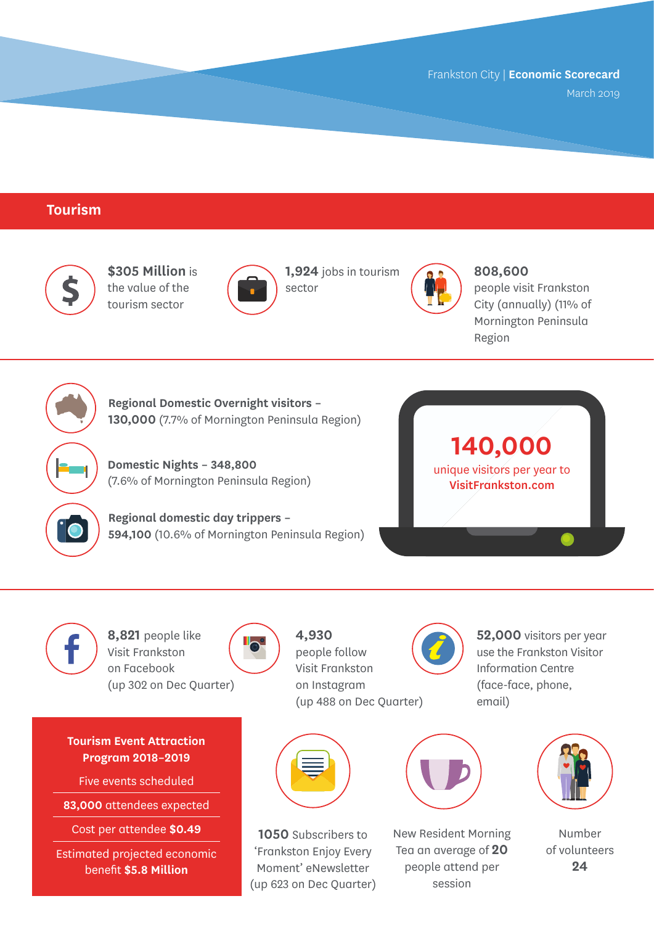#### **Tourism**



**\$305 Million** is the value of the tourism sector



**1,924** jobs in tourism sector



**808,600** 

people visit Frankston City (annually) (11% of Mornington Peninsula Region



**Regional Domestic Overnight visitors – 130,000** (7.7% of Mornington Peninsula Region)

**Domestic Nights – 348,800** (7.6% of Mornington Peninsula Region)

**Regional domestic day trippers – 594,100** (10.6% of Mornington Peninsula Region)





**8,821** people like Visit Frankston on Facebook (up 302 on Dec Quarter)

**Program 2018–2019**

Five events scheduled

Cost per attendee **\$0.49**

Estimated projected economic benefit **\$5.8 Million**



**4,930**  people follow Visit Frankston on Instagram (up 488 on Dec Quarter)

**52,000** visitors per year use the Frankston Visitor Information Centre (face-face, phone, email)





**1050** Subscribers to 'Frankston Enjoy Every Moment' eNewsletter (up 623 on Dec Quarter)



New Resident Morning Tea an average of **20** people attend per session



Number of volunteers **24**